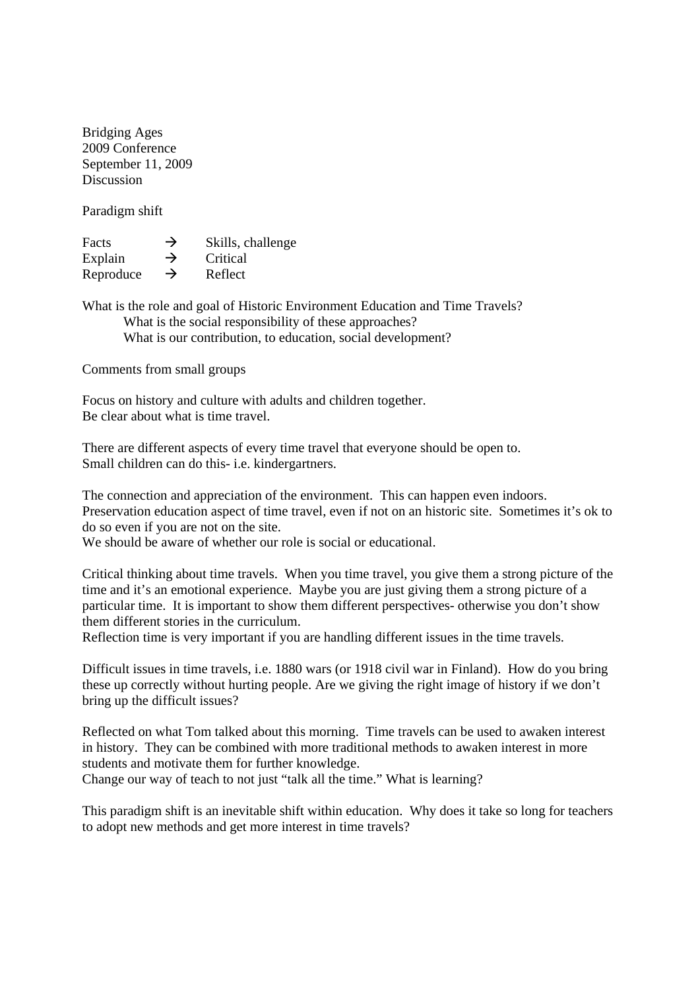Bridging Ages 2009 Conference September 11, 2009 Discussion

Paradigm shift

| Facts     | $\rightarrow$ | Skills, challenge |
|-----------|---------------|-------------------|
| Explain   | $\rightarrow$ | Critical          |
| Reproduce | $\rightarrow$ | Reflect           |

What is the role and goal of Historic Environment Education and Time Travels? What is the social responsibility of these approaches? What is our contribution, to education, social development?

Comments from small groups

Focus on history and culture with adults and children together. Be clear about what is time travel.

There are different aspects of every time travel that everyone should be open to. Small children can do this- i.e. kindergartners.

The connection and appreciation of the environment. This can happen even indoors. Preservation education aspect of time travel, even if not on an historic site. Sometimes it's ok to do so even if you are not on the site.

We should be aware of whether our role is social or educational.

Critical thinking about time travels. When you time travel, you give them a strong picture of the time and it's an emotional experience. Maybe you are just giving them a strong picture of a particular time. It is important to show them different perspectives- otherwise you don't show them different stories in the curriculum.

Reflection time is very important if you are handling different issues in the time travels.

Difficult issues in time travels, i.e. 1880 wars (or 1918 civil war in Finland). How do you bring these up correctly without hurting people. Are we giving the right image of history if we don't bring up the difficult issues?

Reflected on what Tom talked about this morning. Time travels can be used to awaken interest in history. They can be combined with more traditional methods to awaken interest in more students and motivate them for further knowledge. Change our way of teach to not just "talk all the time." What is learning?

This paradigm shift is an inevitable shift within education. Why does it take so long for teachers to adopt new methods and get more interest in time travels?